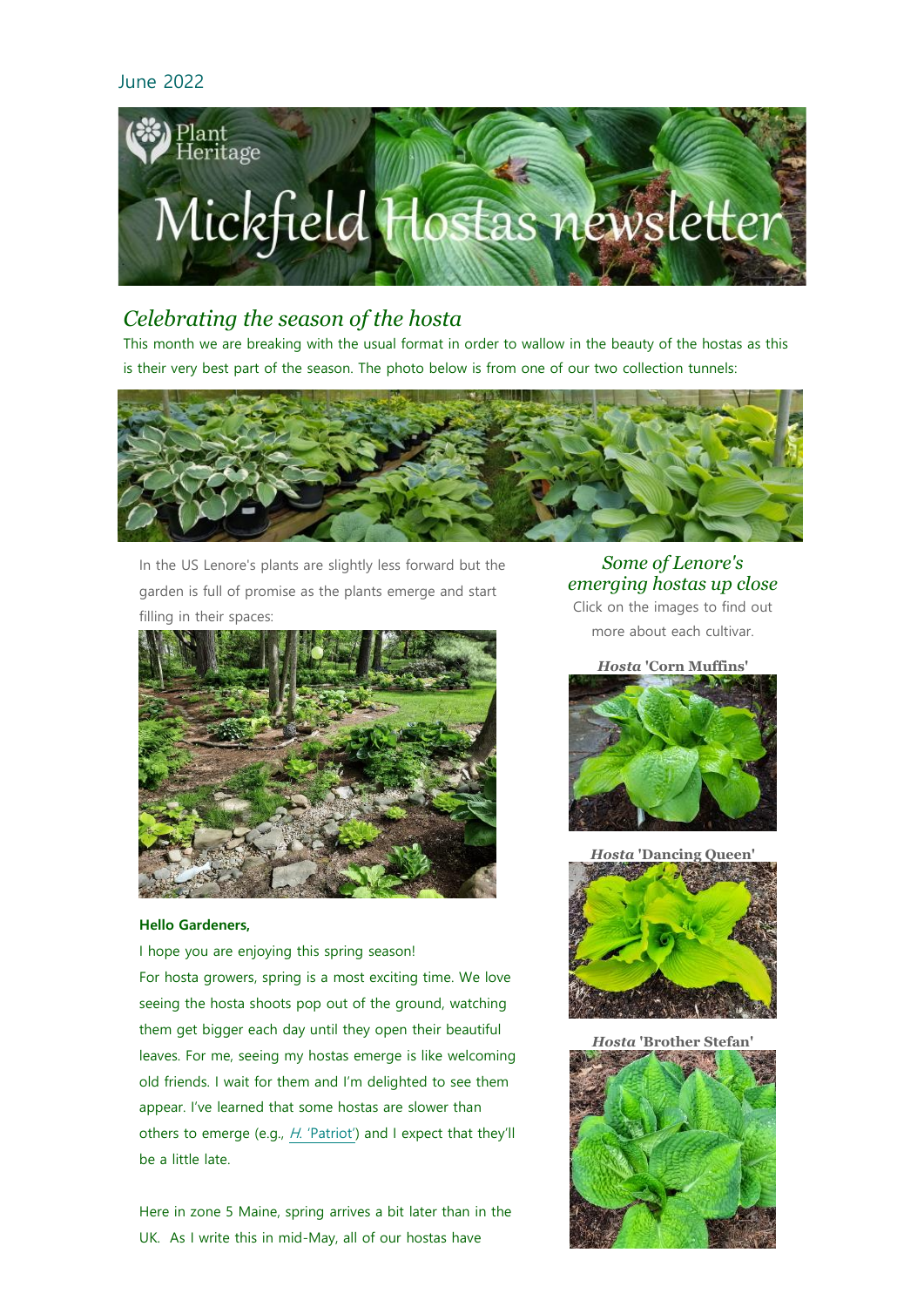

# *Celebrating the season of the hosta*

This month we are breaking with the usual format in order to wallow in the beauty of the hostas as this is their very best part of the season. The photo below is from one of our two collection tunnels:



In the US Lenore's plants are slightly less forward but the garden is full of promise as the plants emerge and start filling in their spaces:



## **Hello Gardeners,**

I hope you are enjoying this spring season! For hosta growers, spring is a most exciting time. We love seeing the hosta shoots pop out of the ground, watching them get bigger each day until they open their beautiful leaves. For me, seeing my hostas emerge is like welcoming old friends. I wait for them and I'm delighted to see them appear. I've learned that some hostas are slower than others to emerge (e.g., H[. 'Patriot'\)](https://www.mickfieldhostas.co.uk/varieties/0556.htm) and I expect that they'll be a little late.

Here in zone 5 Maine, spring arrives a bit later than in the UK. As I write this in mid-May, all of our hostas have

*Some of Lenore's emerging hostas up close* Click on the images to find out more about each cultivar.

#### *Hosta* **'Corn Muffins'**



*Hosta* **'Dancing Queen'**



*Hosta* **'Brother Stefan'**

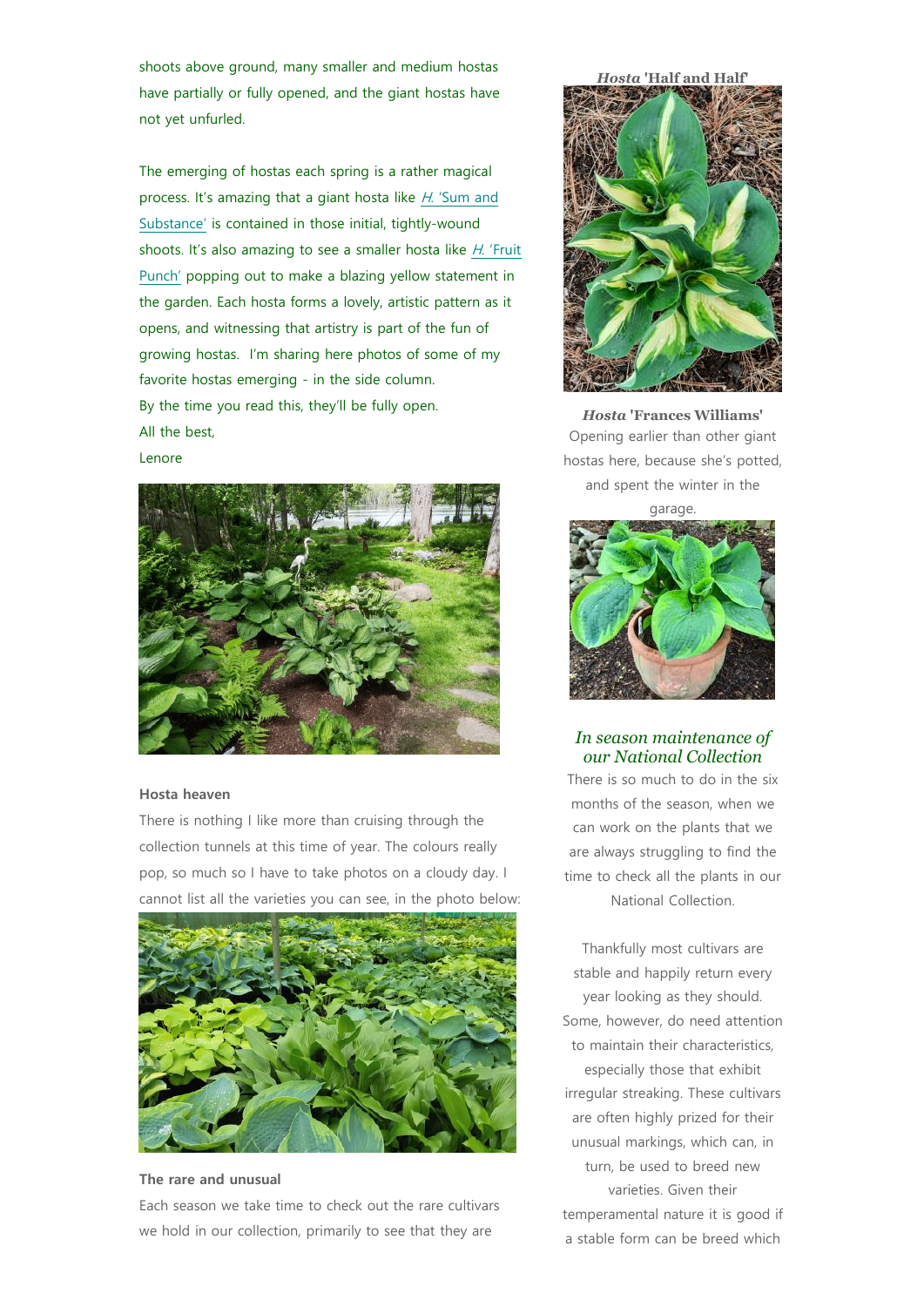shoots above ground, many smaller and medium hostas have partially or fully opened, and the giant hostas have not yet unfurled.

The emerging of hostas each spring is a rather magical process. It's amazing that a giant hosta like H. 'Sum and [Substance'](https://www.mickfieldhostas.co.uk/varieties/0203.htm) is contained in those initial, tightly-wound shoots. It's also amazing to see a smaller hosta like H. 'Fruit [Punch'](https://www.mickfieldhostas.co.uk/varieties/4042.htm) popping out to make a blazing yellow statement in the garden. Each hosta forms a lovely, artistic pattern as it opens, and witnessing that artistry is part of the fun of growing hostas. I'm sharing here photos of some of my favorite hostas emerging - in the side column. By the time you read this, they'll be fully open. All the best,





## **Hosta heaven**

There is nothing I like more than cruising through the collection tunnels at this time of year. The colours really pop, so much so I have to take photos on a cloudy day. I cannot list all the varieties you can see, in the photo below:



## **The rare and unusual**

Each season we take time to check out the rare cultivars we hold in our collection, primarily to see that they are

*Hosta* **'Half and Half'**



*Hosta* **'Frances Williams'** Opening earlier than other giant hostas here, because she's potted, and spent the winter in the



*In season maintenance of our National Collection*

There is so much to do in the six months of the season, when we can work on the plants that we are always struggling to find the time to check all the plants in our National Collection.

Thankfully most cultivars are stable and happily return every year looking as they should. Some, however, do need attention to maintain their characteristics, especially those that exhibit irregular streaking. These cultivars are often highly prized for their unusual markings, which can, in turn, be used to breed new varieties. Given their temperamental nature it is good if a stable form can be breed which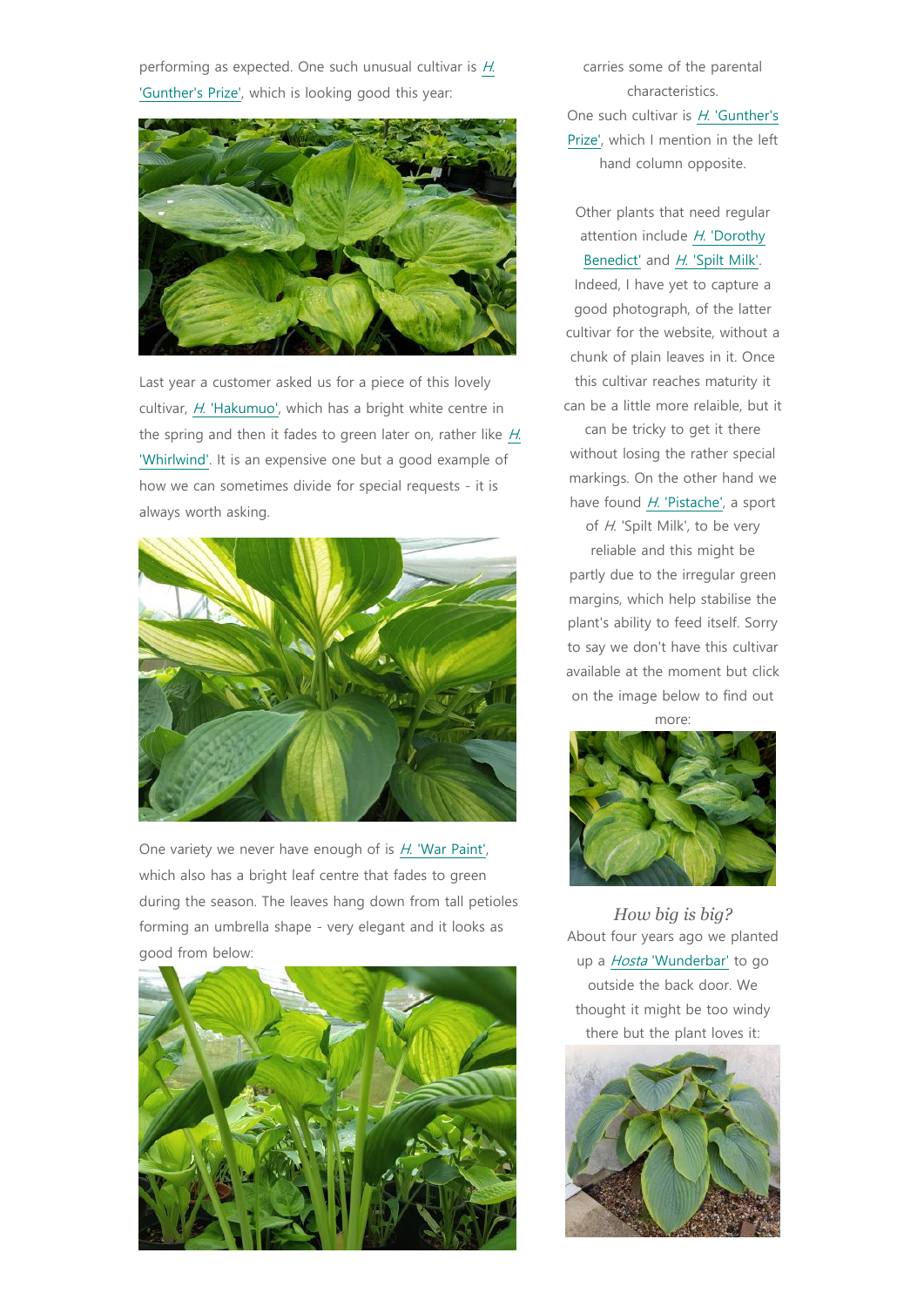performing as expected[.](https://www.mickfieldhostas.co.uk/varieties/1995.htm) One such unusual cultivar is  $H$ . ['Gunther's Prize',](https://www.mickfieldhostas.co.uk/varieties/1995.htm) which is looking good this year:



Last year a customer asked us for a piece of this lovely cultivar, H[. 'Hakumuo',](https://www.mickfieldhostas.co.uk/varieties/3033.htm) which has a bright white centre in the spring and then it fades to green later on, rather like H[.](https://www.mickfieldhostas.co.uk/varieties/0462.htm)  ['Whirlwind'.](https://www.mickfieldhostas.co.uk/varieties/0462.htm) It is an expensive one but a good example of how we can sometimes divide for special requests - it is always worth asking.



One variety we never have enough of is H[. 'War Paint',](https://www.mickfieldhostas.co.uk/varieties/1523.htm) which also has a bright leaf centre that fades to green during the season. The leaves hang down from tall petioles forming an umbrella shape - very elegant and it looks as good from below:



carries some of the parental characteristics. One such cultivar is H. 'Gunther's [Prize',](https://www.mickfieldhostas.co.uk/varieties/1995.htm) which I mention in the left hand column opposite.

Other plants that need regular attention include H[. 'Dorothy](https://www.mickfieldhostas.co.uk/varieties/2112.htm)  [Benedict'](https://www.mickfieldhostas.co.uk/varieties/2112.htm) and H[. 'Spilt Milk'.](https://www.mickfieldhostas.co.uk/varieties/0639.htm) Indeed, I have yet to capture a good photograph, of the latter cultivar for the website, without a chunk of plain leaves in it. Once this cultivar reaches maturity it can be a little more relaible, but it

can be tricky to get it there without losing the rather special markings. On the other hand we have found H. ['Pistache',](https://www.mickfieldhostas.co.uk/varieties/4080.htm) a sport of H. 'Spilt Milk', to be very

reliable and this might be partly due to the irregular green margins, which help stabilise the plant's ability to feed itself. Sorry to say we don't have this cultivar available at the moment but click on the image below to find out





*How big is big?* About four years ago we planted up a Hosta ['Wunderbar'](https://www.mickfieldhostas.co.uk/varieties/5706.htm) to go outside the back door. We thought it might be too windy there but the plant loves it: